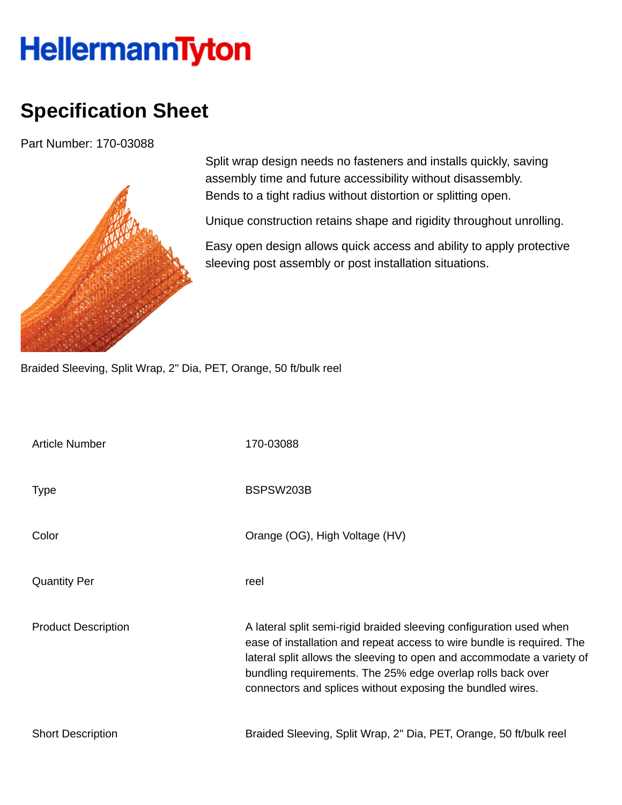## **HellermannTyton**

## **Specification Sheet**

Part Number: 170-03088



Split wrap design needs no fasteners and installs quickly, saving assembly time and future accessibility without disassembly. Bends to a tight radius without distortion or splitting open.

Unique construction retains shape and rigidity throughout unrolling.

Easy open design allows quick access and ability to apply protective sleeving post assembly or post installation situations.

Braided Sleeving, Split Wrap, 2" Dia, PET, Orange, 50 ft/bulk reel

| <b>Article Number</b>      | 170-03088                                                                                                                                                                                                                                                                                                                                            |
|----------------------------|------------------------------------------------------------------------------------------------------------------------------------------------------------------------------------------------------------------------------------------------------------------------------------------------------------------------------------------------------|
| <b>Type</b>                | BSPSW203B                                                                                                                                                                                                                                                                                                                                            |
| Color                      | Orange (OG), High Voltage (HV)                                                                                                                                                                                                                                                                                                                       |
| <b>Quantity Per</b>        | reel                                                                                                                                                                                                                                                                                                                                                 |
| <b>Product Description</b> | A lateral split semi-rigid braided sleeving configuration used when<br>ease of installation and repeat access to wire bundle is required. The<br>lateral split allows the sleeving to open and accommodate a variety of<br>bundling requirements. The 25% edge overlap rolls back over<br>connectors and splices without exposing the bundled wires. |
| <b>Short Description</b>   | Braided Sleeving, Split Wrap, 2" Dia, PET, Orange, 50 ft/bulk reel                                                                                                                                                                                                                                                                                   |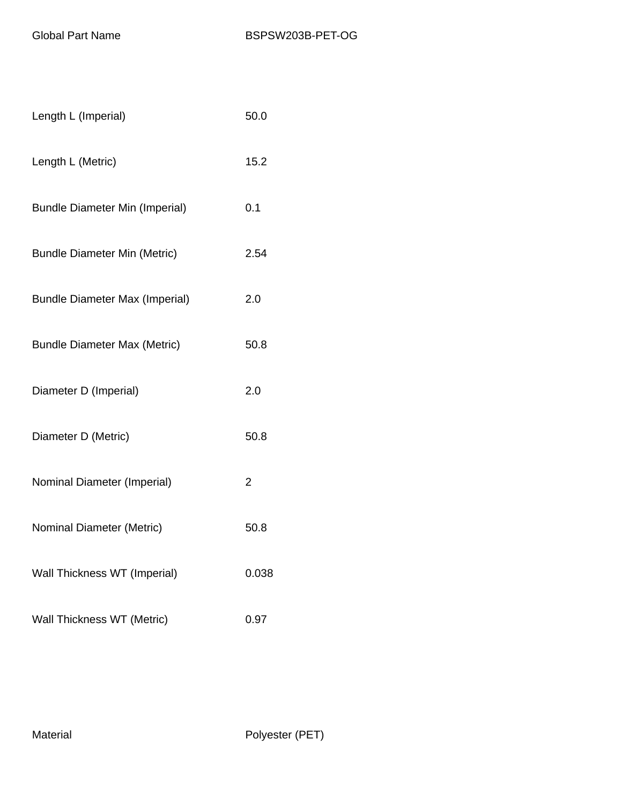| Length L (Imperial)                   | 50.0  |
|---------------------------------------|-------|
| Length L (Metric)                     | 15.2  |
| <b>Bundle Diameter Min (Imperial)</b> | 0.1   |
| <b>Bundle Diameter Min (Metric)</b>   | 2.54  |
| <b>Bundle Diameter Max (Imperial)</b> | 2.0   |
| <b>Bundle Diameter Max (Metric)</b>   | 50.8  |
| Diameter D (Imperial)                 | 2.0   |
| Diameter D (Metric)                   | 50.8  |
| Nominal Diameter (Imperial)           | 2     |
| Nominal Diameter (Metric)             | 50.8  |
| Wall Thickness WT (Imperial)          | 0.038 |
| Wall Thickness WT (Metric)            | 0.97  |